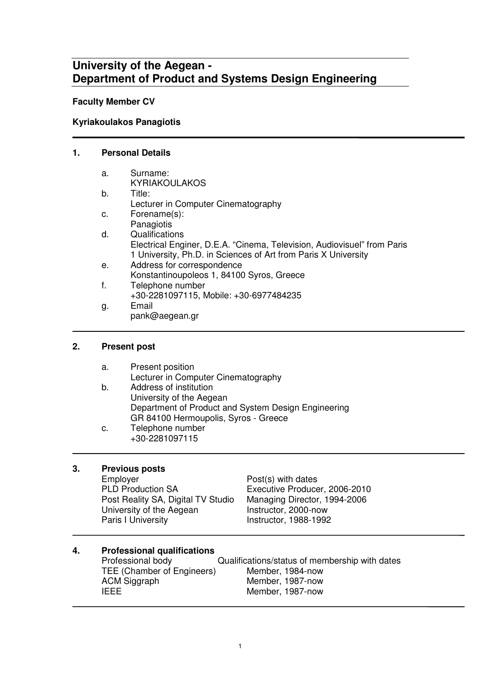## **University of the Aegean - Department of Product and Systems Design Engineering**

### **Faculty Member CV**

## **Kyriakoulakos Panagiotis**

#### **1. Personal Details**

| a. | Surname:                                                                |
|----|-------------------------------------------------------------------------|
|    | <b>KYRIAKOULAKOS</b>                                                    |
| b. | Title:                                                                  |
|    | Lecturer in Computer Cinematography                                     |
| c. | Forename(s):                                                            |
|    | Panagiotis                                                              |
| d. | Qualifications                                                          |
|    | Electrical Enginer, D.E.A. "Cinema, Television, Audiovisuel" from Paris |
|    | 1 University, Ph.D. in Sciences of Art from Paris X University          |
| е. | Address for correspondence                                              |
|    | Konstantinoupoleos 1, 84100 Syros, Greece                               |
| f. | Telephone number                                                        |
|    | +30-2281097115, Mobile: +30-6977484235                                  |
| g. | Email                                                                   |
|    | pank@aegean.gr                                                          |

#### **2. Present post**

| а. | Present position                                    |
|----|-----------------------------------------------------|
|    | Lecturer in Computer Cinematography                 |
| b. | Address of institution                              |
|    | University of the Aegean                            |
|    | Department of Product and System Design Engineering |
|    | GR 84100 Hermoupolis, Syros - Greece                |
| c. | Telephone number                                    |

+30-2281097115

### **3. Previous posts**

 $\overline{a}$ 

Employer **Post**(s) with dates<br>
PLD Production SA **Executive Produce** Post Reality SA, Digital TV Studio Managing Director, 1<br>University of the Aegean lnstructor, 2000-now University of the Aegean<br>Paris I University

Executive Producer, 2006-2010<br>Managing Director, 1994-2006 Instructor, 1988-1992

## **4. Professional qualifications**

| Professional body          | Qualifications/status of membership with dates |
|----------------------------|------------------------------------------------|
| TEE (Chamber of Engineers) | Member, 1984-now                               |
| ACM Siggraph               | Member, 1987-now                               |
| <b>IEEE</b>                | Member, 1987-now                               |
|                            |                                                |